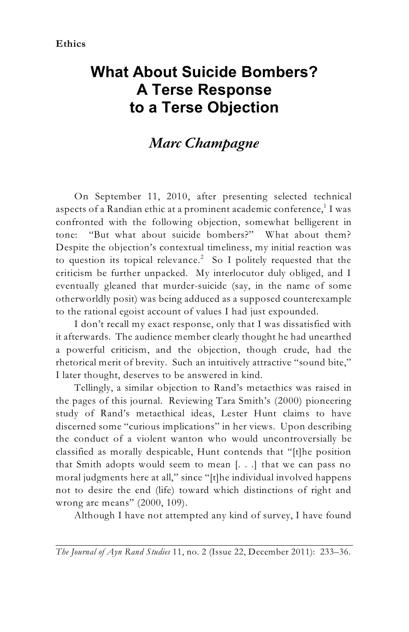## **What About Suicide Bombers? A Terse Response to a Terse Objection**

## *Marc Champagne*

On September 11, 2010, after presenting selected technical aspects of a Randian ethic at a prominent academic conference, $^{\rm 1}$  I was confronted with the following objection, somewhat belligerent in tone: "But what about suicide bombers?" What about them? Despite the objection's contextual timeliness, my initial reaction was to question its topical relevance.<sup>2</sup> So I politely requested that the criticism be further unpacked. My interlocutor duly obliged, and I eventually gleaned that murder-suicide (say, in the name of some otherworldly posit) was being adduced as a supposed counterexample to the rational egoist account of values I had just expounded.

I don't recall my exact response, only that I was dissatisfied with it afterwards. The audience member clearly thought he had unearthed a powerful criticism, and the objection, though crude, had the rhetorical merit of brevity. Such an intuitively attractive "sound bite," I later thought, deserves to be answered in kind.

Tellingly, a similar objection to Rand's metaethics was raised in the pages of this journal. Reviewing Tara Smith's (2000) pioneering study of Rand's metaethical ideas, Lester Hunt claims to have discerned some "curious implications" in her views. Upon describing the conduct of a violent wanton who would uncontroversially be classified as morally despicable, Hunt contends that "[t]he position that Smith adopts would seem to mean [. . .] that we can pass no moral judgments here at all," since "[t]he individual involved happens not to desire the end (life) toward which distinctions of right and wrong are means" (2000, 109).

Although I have not attempted any kind of survey, I have found

*The Journal of Ayn Rand Studies* 11, no. 2 (Issue 22, December 2011): 233–36.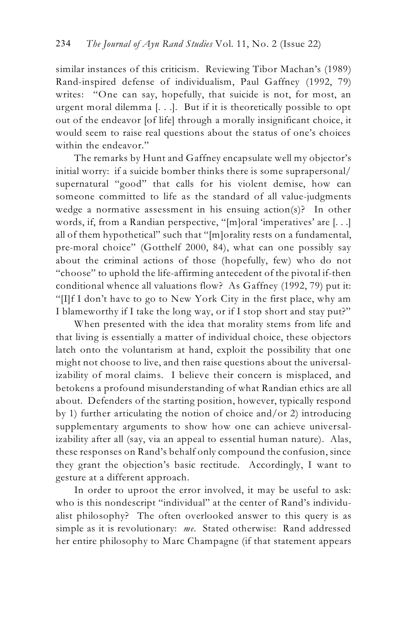similar instances of this criticism. Reviewing Tibor Machan's (1989) Rand-inspired defense of individualism, Paul Gaffney (1992, 79) writes: "One can say, hopefully, that suicide is not, for most, an urgent moral dilemma [. . .]. But if it is theoretically possible to opt out of the endeavor [of life] through a morally insignificant choice, it would seem to raise real questions about the status of one's choices within the endeavor."

The remarks by Hunt and Gaffney encapsulate well my objector's initial worry: if a suicide bomber thinks there is some suprapersonal/ supernatural "good" that calls for his violent demise, how can someone committed to life as the standard of all value-judgments wedge a normative assessment in his ensuing action(s)? In other words, if, from a Randian perspective, "[m]oral 'imperatives' are [. . .] all of them hypothetical" such that "[m]orality rests on a fundamental, pre-moral choice" (Gotthelf 2000, 84), what can one possibly say about the criminal actions of those (hopefully, few) who do not "choose" to uphold the life-affirming antecedent of the pivotal if-then conditional whence all valuations flow? As Gaffney (1992, 79) put it: "[I]f I don't have to go to New York City in the first place, why am I blameworthy if I take the long way, or if I stop short and stay put?"

When presented with the idea that morality stems from life and that living is essentially a matter of individual choice, these objectors latch onto the voluntarism at hand, exploit the possibility that one might not choose to live, and then raise questions about the universalizability of moral claims. I believe their concern is misplaced, and betokens a profound misunderstanding of what Randian ethics are all about. Defenders of the starting position, however, typically respond by 1) further articulating the notion of choice and/or 2) introducing supplementary arguments to show how one can achieve universalizability after all (say, via an appeal to essential human nature). Alas, these responses on Rand's behalf only compound the confusion, since they grant the objection's basic rectitude. Accordingly, I want to gesture at a different approach.

In order to uproot the error involved, it may be useful to ask: who is this nondescript "individual" at the center of Rand's individualist philosophy? The often overlooked answer to this query is as simple as it is revolutionary: *me*. Stated otherwise: Rand addressed her entire philosophy to Marc Champagne (if that statement appears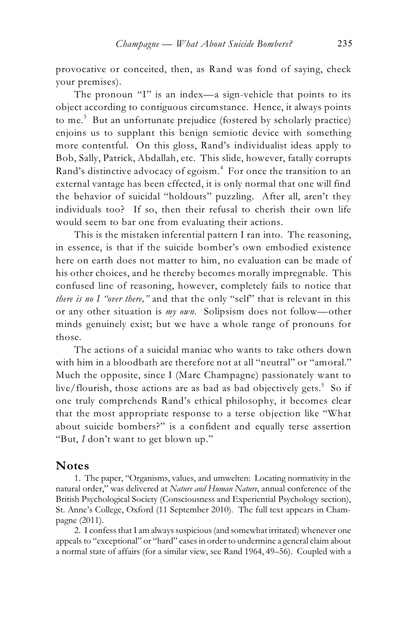provocative or conceited, then, as Rand was fond of saying, check your premises).

The pronoun "I" is an index—a sign-vehicle that points to its object according to contiguous circumstance. Hence, it always points to me.<sup>3</sup> But an unfortunate prejudice (fostered by scholarly practice) enjoins us to supplant this benign semiotic device with something more contentful. On this gloss, Rand's individualist ideas apply to Bob, Sally, Patrick, Abdallah, etc. This slide, however, fatally corrupts Rand's distinctive advocacy of egoism.<sup>4</sup> For once the transition to an external vantage has been effected, it is only normal that one will find the behavior of suicidal "holdouts" puzzling. After all, aren't they individuals too? If so, then their refusal to cherish their own life would seem to bar one from evaluating their actions.

This is the mistaken inferential pattern I ran into. The reasoning, in essence, is that if the suicide bomber's own embodied existence here on earth does not matter to him, no evaluation can be made of his other choices, and he thereby becomes morally impregnable. This confused line of reasoning, however, completely fails to notice that *there is no I "over there,"* and that the only "self" that is relevant in this or any other situation is *my own*. Solipsism does not follow—other minds genuinely exist; but we have a whole range of pronouns for those.

The actions of a suicidal maniac who wants to take others down with him in a bloodbath are therefore not at all "neutral" or "amoral." Much the opposite, since I (Marc Champagne) passionately want to live/flourish, those actions are as bad as bad objectively gets.<sup>5</sup> So if one truly comprehends Rand's ethical philosophy, it becomes clear that the most appropriate response to a terse objection like "What about suicide bombers?" is a confident and equally terse assertion "But, *I* don't want to get blown up."

## **Notes**

1. The paper, "Organisms, values, and umwelten: Locating normativity in the natural order," was delivered at *Nature and Human Nature*, annual conference of the British Psychological Society (Consciousness and Experiential Psychology section), St. Anne's College, Oxford (11 September 2010). The full text appears in Champagne (2011).

2. I confess that I am always suspicious (and somewhat irritated) whenever one appeals to "exceptional" or "hard" cases in order to undermine a general claim about a normal state of affairs (for a similar view, see Rand 1964, 49–56). Coupled with a